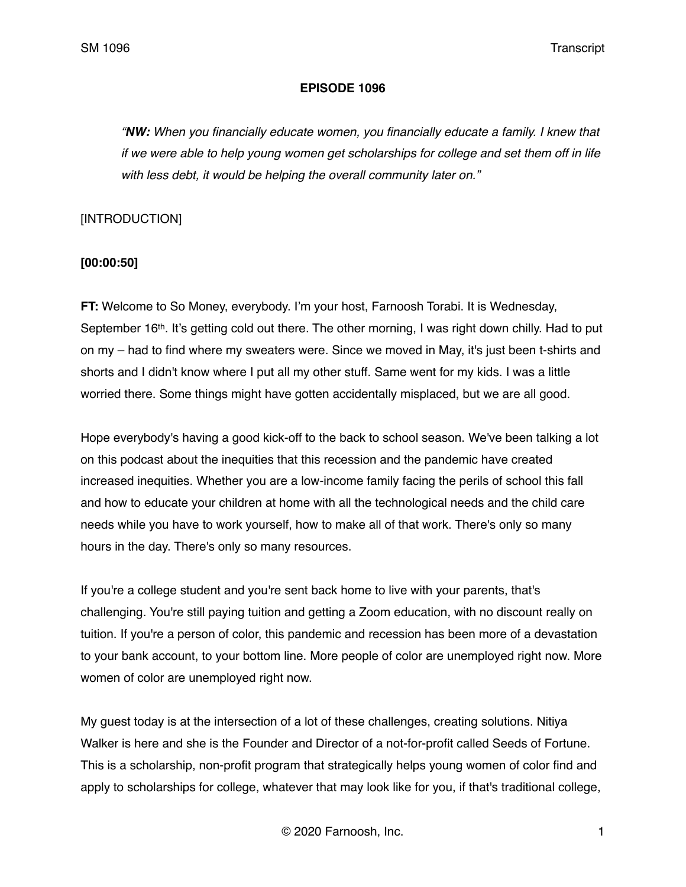#### **EPISODE 1096**

*"NW: When you financially educate women, you financially educate a family. I knew that if we were able to help young women get scholarships for college and set them off in life with less debt, it would be helping the overall community later on."*

### [INTRODUCTION]

# **[00:00:50]**

**FT:** Welcome to So Money, everybody. I'm your host, Farnoosh Torabi. It is Wednesday, September 16<sup>th</sup>. It's getting cold out there. The other morning, I was right down chilly. Had to put on my – had to find where my sweaters were. Since we moved in May, it's just been t-shirts and shorts and I didn't know where I put all my other stuff. Same went for my kids. I was a little worried there. Some things might have gotten accidentally misplaced, but we are all good.

Hope everybody's having a good kick-off to the back to school season. We've been talking a lot on this podcast about the inequities that this recession and the pandemic have created increased inequities. Whether you are a low-income family facing the perils of school this fall and how to educate your children at home with all the technological needs and the child care needs while you have to work yourself, how to make all of that work. There's only so many hours in the day. There's only so many resources.

If you're a college student and you're sent back home to live with your parents, that's challenging. You're still paying tuition and getting a Zoom education, with no discount really on tuition. If you're a person of color, this pandemic and recession has been more of a devastation to your bank account, to your bottom line. More people of color are unemployed right now. More women of color are unemployed right now.

My guest today is at the intersection of a lot of these challenges, creating solutions. Nitiya Walker is here and she is the Founder and Director of a not-for-profit called Seeds of Fortune. This is a scholarship, non-profit program that strategically helps young women of color find and apply to scholarships for college, whatever that may look like for you, if that's traditional college,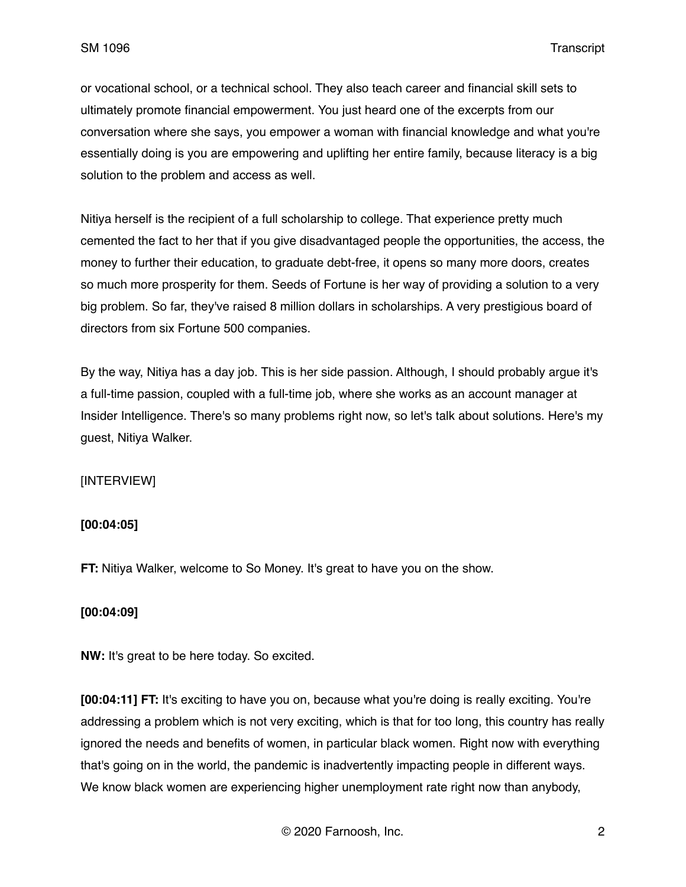or vocational school, or a technical school. They also teach career and financial skill sets to ultimately promote financial empowerment. You just heard one of the excerpts from our conversation where she says, you empower a woman with financial knowledge and what you're essentially doing is you are empowering and uplifting her entire family, because literacy is a big solution to the problem and access as well.

Nitiya herself is the recipient of a full scholarship to college. That experience pretty much cemented the fact to her that if you give disadvantaged people the opportunities, the access, the money to further their education, to graduate debt-free, it opens so many more doors, creates so much more prosperity for them. Seeds of Fortune is her way of providing a solution to a very big problem. So far, they've raised 8 million dollars in scholarships. A very prestigious board of directors from six Fortune 500 companies.

By the way, Nitiya has a day job. This is her side passion. Although, I should probably argue it's a full-time passion, coupled with a full-time job, where she works as an account manager at Insider Intelligence. There's so many problems right now, so let's talk about solutions. Here's my guest, Nitiya Walker.

#### [INTERVIEW]

#### **[00:04:05]**

**FT:** Nitiya Walker, welcome to So Money. It's great to have you on the show.

#### **[00:04:09]**

**NW:** It's great to be here today. So excited.

**[00:04:11] FT:** It's exciting to have you on, because what you're doing is really exciting. You're addressing a problem which is not very exciting, which is that for too long, this country has really ignored the needs and benefits of women, in particular black women. Right now with everything that's going on in the world, the pandemic is inadvertently impacting people in different ways. We know black women are experiencing higher unemployment rate right now than anybody,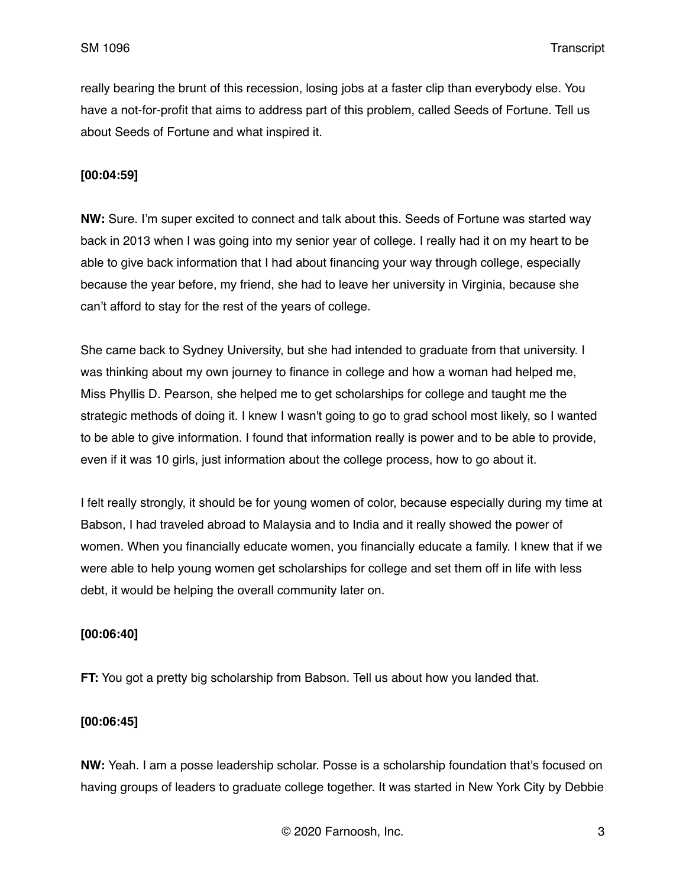really bearing the brunt of this recession, losing jobs at a faster clip than everybody else. You have a not-for-profit that aims to address part of this problem, called Seeds of Fortune. Tell us about Seeds of Fortune and what inspired it.

### **[00:04:59]**

**NW:** Sure. I'm super excited to connect and talk about this. Seeds of Fortune was started way back in 2013 when I was going into my senior year of college. I really had it on my heart to be able to give back information that I had about financing your way through college, especially because the year before, my friend, she had to leave her university in Virginia, because she can't afford to stay for the rest of the years of college.

She came back to Sydney University, but she had intended to graduate from that university. I was thinking about my own journey to finance in college and how a woman had helped me, Miss Phyllis D. Pearson, she helped me to get scholarships for college and taught me the strategic methods of doing it. I knew I wasn't going to go to grad school most likely, so I wanted to be able to give information. I found that information really is power and to be able to provide, even if it was 10 girls, just information about the college process, how to go about it.

I felt really strongly, it should be for young women of color, because especially during my time at Babson, I had traveled abroad to Malaysia and to India and it really showed the power of women. When you financially educate women, you financially educate a family. I knew that if we were able to help young women get scholarships for college and set them off in life with less debt, it would be helping the overall community later on.

### **[00:06:40]**

**FT:** You got a pretty big scholarship from Babson. Tell us about how you landed that.

### **[00:06:45]**

**NW:** Yeah. I am a posse leadership scholar. Posse is a scholarship foundation that's focused on having groups of leaders to graduate college together. It was started in New York City by Debbie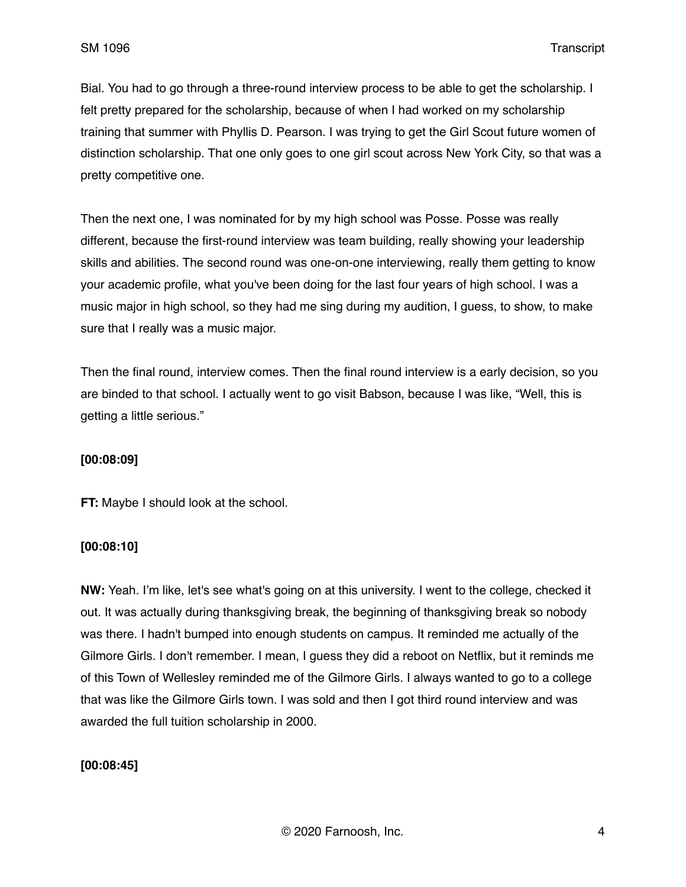Bial. You had to go through a three-round interview process to be able to get the scholarship. I felt pretty prepared for the scholarship, because of when I had worked on my scholarship training that summer with Phyllis D. Pearson. I was trying to get the Girl Scout future women of distinction scholarship. That one only goes to one girl scout across New York City, so that was a pretty competitive one.

Then the next one, I was nominated for by my high school was Posse. Posse was really different, because the first-round interview was team building, really showing your leadership skills and abilities. The second round was one-on-one interviewing, really them getting to know your academic profile, what you've been doing for the last four years of high school. I was a music major in high school, so they had me sing during my audition, I guess, to show, to make sure that I really was a music major.

Then the final round, interview comes. Then the final round interview is a early decision, so you are binded to that school. I actually went to go visit Babson, because I was like, "Well, this is getting a little serious."

### **[00:08:09]**

**FT:** Maybe I should look at the school.

### **[00:08:10]**

**NW:** Yeah. I'm like, let's see what's going on at this university. I went to the college, checked it out. It was actually during thanksgiving break, the beginning of thanksgiving break so nobody was there. I hadn't bumped into enough students on campus. It reminded me actually of the Gilmore Girls. I don't remember. I mean, I guess they did a reboot on Netflix, but it reminds me of this Town of Wellesley reminded me of the Gilmore Girls. I always wanted to go to a college that was like the Gilmore Girls town. I was sold and then I got third round interview and was awarded the full tuition scholarship in 2000.

### **[00:08:45]**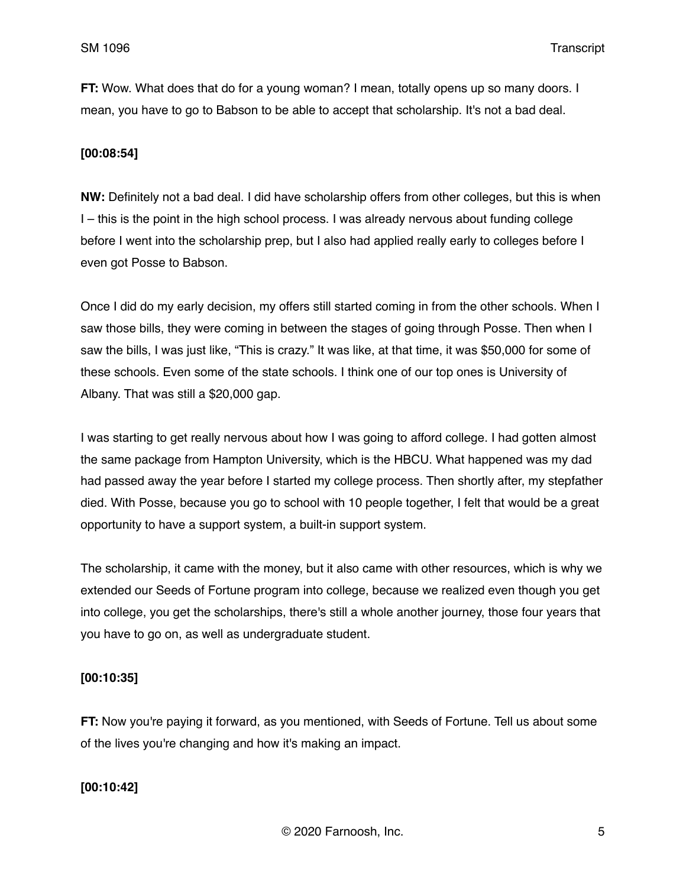**FT:** Wow. What does that do for a young woman? I mean, totally opens up so many doors. I mean, you have to go to Babson to be able to accept that scholarship. It's not a bad deal.

## **[00:08:54]**

**NW:** Definitely not a bad deal. I did have scholarship offers from other colleges, but this is when I – this is the point in the high school process. I was already nervous about funding college before I went into the scholarship prep, but I also had applied really early to colleges before I even got Posse to Babson.

Once I did do my early decision, my offers still started coming in from the other schools. When I saw those bills, they were coming in between the stages of going through Posse. Then when I saw the bills, I was just like, "This is crazy." It was like, at that time, it was \$50,000 for some of these schools. Even some of the state schools. I think one of our top ones is University of Albany. That was still a \$20,000 gap.

I was starting to get really nervous about how I was going to afford college. I had gotten almost the same package from Hampton University, which is the HBCU. What happened was my dad had passed away the year before I started my college process. Then shortly after, my stepfather died. With Posse, because you go to school with 10 people together, I felt that would be a great opportunity to have a support system, a built-in support system.

The scholarship, it came with the money, but it also came with other resources, which is why we extended our Seeds of Fortune program into college, because we realized even though you get into college, you get the scholarships, there's still a whole another journey, those four years that you have to go on, as well as undergraduate student.

### **[00:10:35]**

**FT:** Now you're paying it forward, as you mentioned, with Seeds of Fortune. Tell us about some of the lives you're changing and how it's making an impact.

# **[00:10:42]**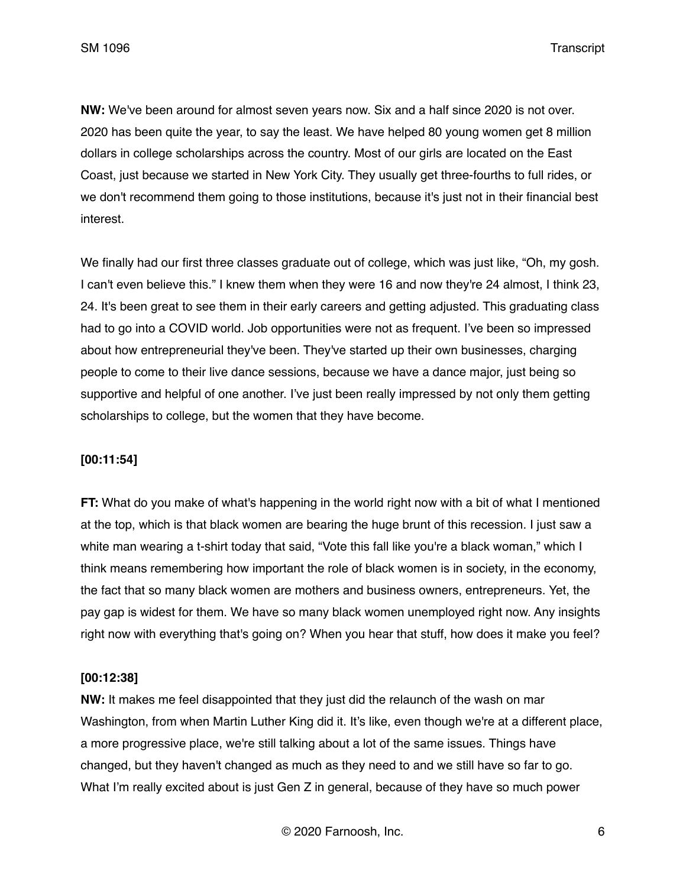**NW:** We've been around for almost seven years now. Six and a half since 2020 is not over. 2020 has been quite the year, to say the least. We have helped 80 young women get 8 million dollars in college scholarships across the country. Most of our girls are located on the East Coast, just because we started in New York City. They usually get three-fourths to full rides, or we don't recommend them going to those institutions, because it's just not in their financial best interest.

We finally had our first three classes graduate out of college, which was just like, "Oh, my gosh. I can't even believe this." I knew them when they were 16 and now they're 24 almost, I think 23, 24. It's been great to see them in their early careers and getting adjusted. This graduating class had to go into a COVID world. Job opportunities were not as frequent. I've been so impressed about how entrepreneurial they've been. They've started up their own businesses, charging people to come to their live dance sessions, because we have a dance major, just being so supportive and helpful of one another. I've just been really impressed by not only them getting scholarships to college, but the women that they have become.

### **[00:11:54]**

**FT:** What do you make of what's happening in the world right now with a bit of what I mentioned at the top, which is that black women are bearing the huge brunt of this recession. I just saw a white man wearing a t-shirt today that said, "Vote this fall like you're a black woman," which I think means remembering how important the role of black women is in society, in the economy, the fact that so many black women are mothers and business owners, entrepreneurs. Yet, the pay gap is widest for them. We have so many black women unemployed right now. Any insights right now with everything that's going on? When you hear that stuff, how does it make you feel?

### **[00:12:38]**

**NW:** It makes me feel disappointed that they just did the relaunch of the wash on mar Washington, from when Martin Luther King did it. It's like, even though we're at a different place, a more progressive place, we're still talking about a lot of the same issues. Things have changed, but they haven't changed as much as they need to and we still have so far to go. What I'm really excited about is just Gen Z in general, because of they have so much power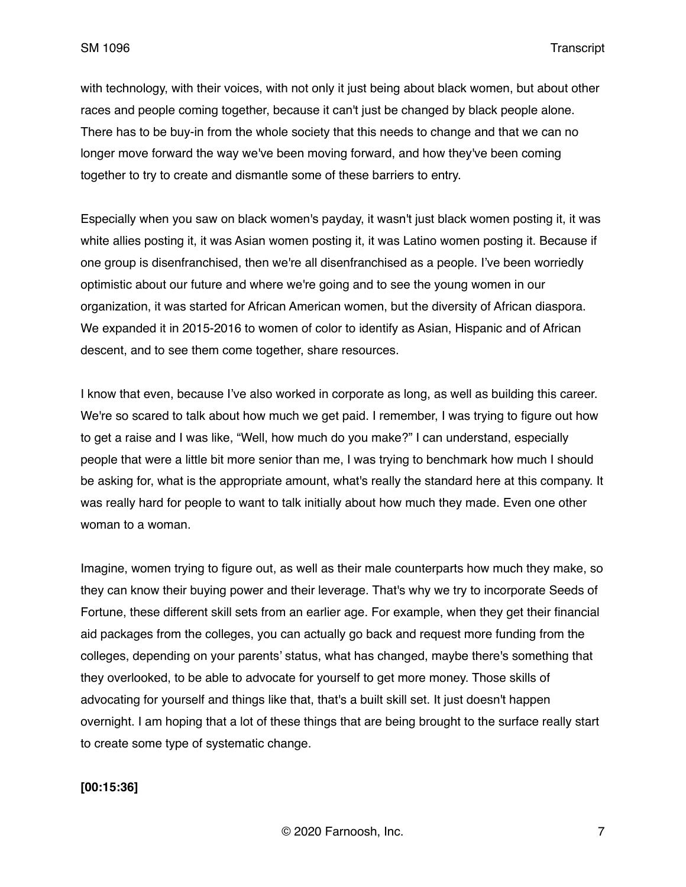with technology, with their voices, with not only it just being about black women, but about other races and people coming together, because it can't just be changed by black people alone. There has to be buy-in from the whole society that this needs to change and that we can no longer move forward the way we've been moving forward, and how they've been coming together to try to create and dismantle some of these barriers to entry.

Especially when you saw on black women's payday, it wasn't just black women posting it, it was white allies posting it, it was Asian women posting it, it was Latino women posting it. Because if one group is disenfranchised, then we're all disenfranchised as a people. I've been worriedly optimistic about our future and where we're going and to see the young women in our organization, it was started for African American women, but the diversity of African diaspora. We expanded it in 2015-2016 to women of color to identify as Asian, Hispanic and of African descent, and to see them come together, share resources.

I know that even, because I've also worked in corporate as long, as well as building this career. We're so scared to talk about how much we get paid. I remember, I was trying to figure out how to get a raise and I was like, "Well, how much do you make?" I can understand, especially people that were a little bit more senior than me, I was trying to benchmark how much I should be asking for, what is the appropriate amount, what's really the standard here at this company. It was really hard for people to want to talk initially about how much they made. Even one other woman to a woman.

Imagine, women trying to figure out, as well as their male counterparts how much they make, so they can know their buying power and their leverage. That's why we try to incorporate Seeds of Fortune, these different skill sets from an earlier age. For example, when they get their financial aid packages from the colleges, you can actually go back and request more funding from the colleges, depending on your parents' status, what has changed, maybe there's something that they overlooked, to be able to advocate for yourself to get more money. Those skills of advocating for yourself and things like that, that's a built skill set. It just doesn't happen overnight. I am hoping that a lot of these things that are being brought to the surface really start to create some type of systematic change.

#### **[00:15:36]**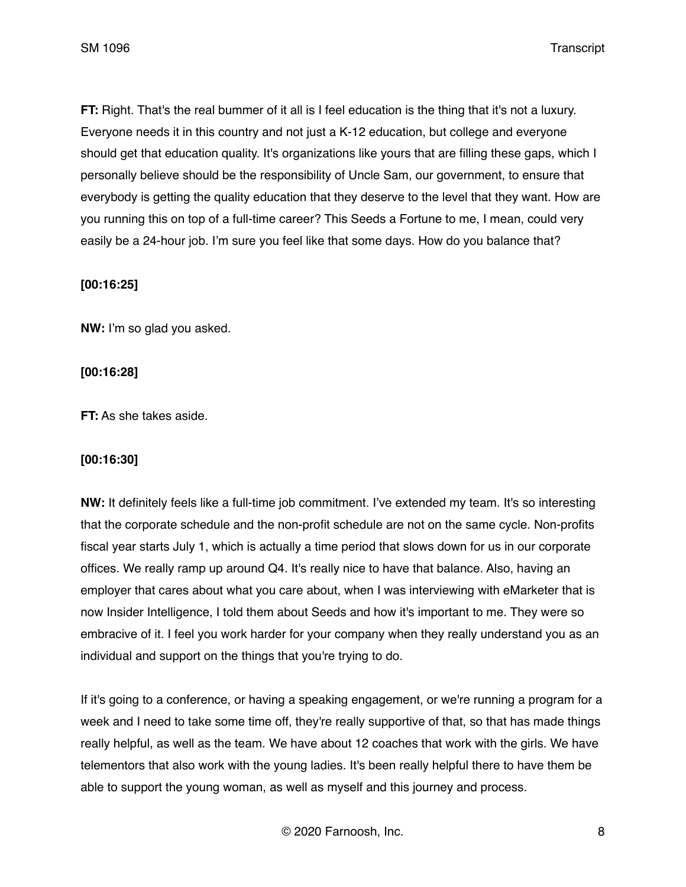**FT:** Right. That's the real bummer of it all is I feel education is the thing that it's not a luxury. Everyone needs it in this country and not just a K-12 education, but college and everyone should get that education quality. It's organizations like yours that are filling these gaps, which I personally believe should be the responsibility of Uncle Sam, our government, to ensure that everybody is getting the quality education that they deserve to the level that they want. How are you running this on top of a full-time career? This Seeds a Fortune to me, I mean, could very easily be a 24-hour job. I'm sure you feel like that some days. How do you balance that?

### **[00:16:25]**

**NW:** I'm so glad you asked.

## **[00:16:28]**

**FT:** As she takes aside.

### **[00:16:30]**

**NW:** It definitely feels like a full-time job commitment. I've extended my team. It's so interesting that the corporate schedule and the non-profit schedule are not on the same cycle. Non-profits fiscal year starts July 1, which is actually a time period that slows down for us in our corporate offices. We really ramp up around Q4. It's really nice to have that balance. Also, having an employer that cares about what you care about, when I was interviewing with eMarketer that is now Insider Intelligence, I told them about Seeds and how it's important to me. They were so embracive of it. I feel you work harder for your company when they really understand you as an individual and support on the things that you're trying to do.

If it's going to a conference, or having a speaking engagement, or we're running a program for a week and I need to take some time off, they're really supportive of that, so that has made things really helpful, as well as the team. We have about 12 coaches that work with the girls. We have telementors that also work with the young ladies. It's been really helpful there to have them be able to support the young woman, as well as myself and this journey and process.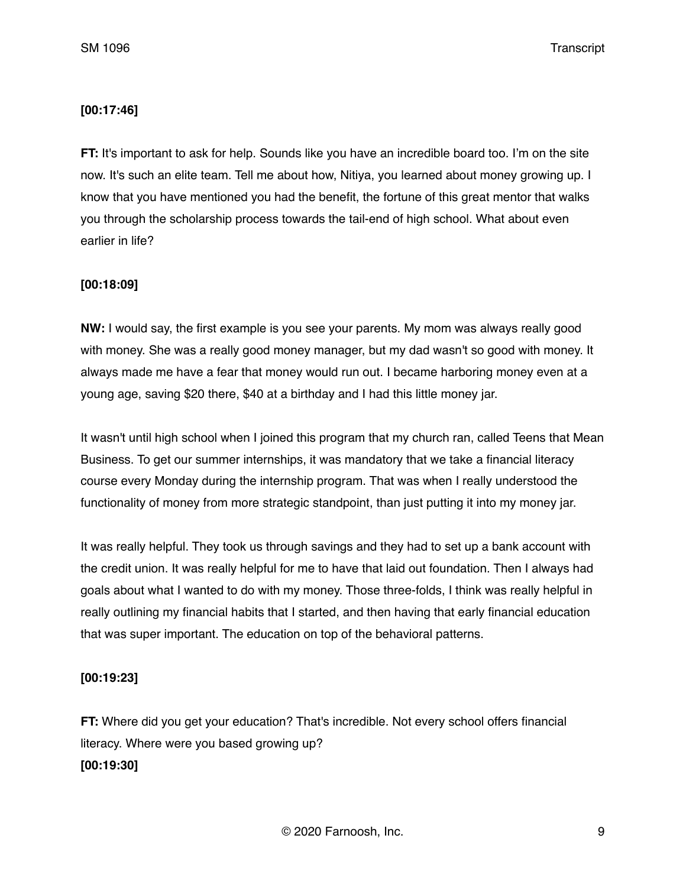### **[00:17:46]**

**FT:** It's important to ask for help. Sounds like you have an incredible board too. I'm on the site now. It's such an elite team. Tell me about how, Nitiya, you learned about money growing up. I know that you have mentioned you had the benefit, the fortune of this great mentor that walks you through the scholarship process towards the tail-end of high school. What about even earlier in life?

## **[00:18:09]**

**NW:** I would say, the first example is you see your parents. My mom was always really good with money. She was a really good money manager, but my dad wasn't so good with money. It always made me have a fear that money would run out. I became harboring money even at a young age, saving \$20 there, \$40 at a birthday and I had this little money jar.

It wasn't until high school when I joined this program that my church ran, called Teens that Mean Business. To get our summer internships, it was mandatory that we take a financial literacy course every Monday during the internship program. That was when I really understood the functionality of money from more strategic standpoint, than just putting it into my money jar.

It was really helpful. They took us through savings and they had to set up a bank account with the credit union. It was really helpful for me to have that laid out foundation. Then I always had goals about what I wanted to do with my money. Those three-folds, I think was really helpful in really outlining my financial habits that I started, and then having that early financial education that was super important. The education on top of the behavioral patterns.

# **[00:19:23]**

**FT:** Where did you get your education? That's incredible. Not every school offers financial literacy. Where were you based growing up?

# **[00:19:30]**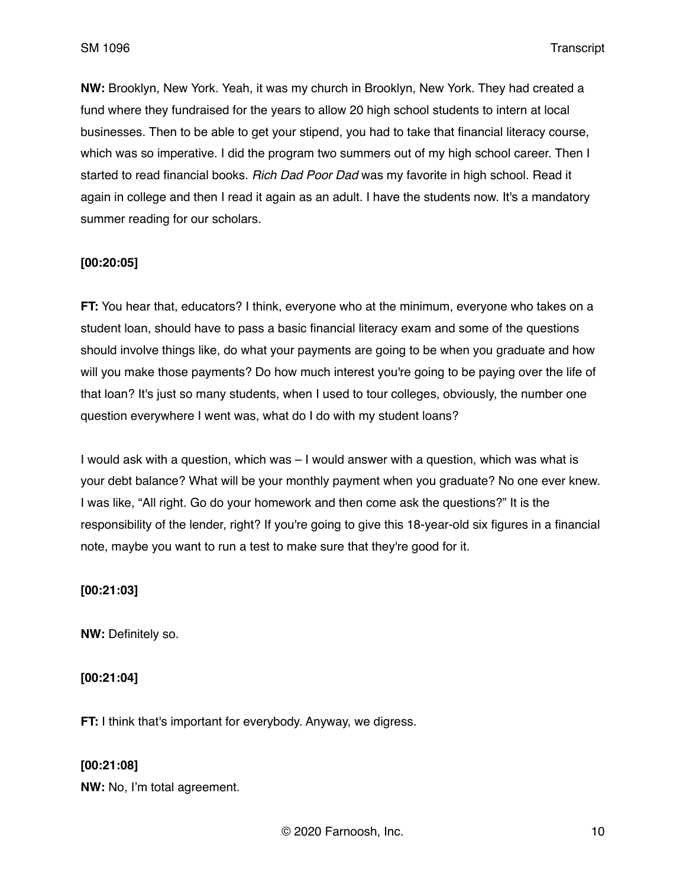**NW:** Brooklyn, New York. Yeah, it was my church in Brooklyn, New York. They had created a fund where they fundraised for the years to allow 20 high school students to intern at local businesses. Then to be able to get your stipend, you had to take that financial literacy course, which was so imperative. I did the program two summers out of my high school career. Then I started to read financial books. *Rich Dad Poor Dad* was my favorite in high school. Read it again in college and then I read it again as an adult. I have the students now. It's a mandatory summer reading for our scholars.

## **[00:20:05]**

**FT:** You hear that, educators? I think, everyone who at the minimum, everyone who takes on a student loan, should have to pass a basic financial literacy exam and some of the questions should involve things like, do what your payments are going to be when you graduate and how will you make those payments? Do how much interest you're going to be paying over the life of that loan? It's just so many students, when I used to tour colleges, obviously, the number one question everywhere I went was, what do I do with my student loans?

I would ask with a question, which was – I would answer with a question, which was what is your debt balance? What will be your monthly payment when you graduate? No one ever knew. I was like, "All right. Go do your homework and then come ask the questions?" It is the responsibility of the lender, right? If you're going to give this 18-year-old six figures in a financial note, maybe you want to run a test to make sure that they're good for it.

### **[00:21:03]**

**NW:** Definitely so.

### **[00:21:04]**

**FT:** I think that's important for everybody. Anyway, we digress.

**[00:21:08] NW:** No, I'm total agreement.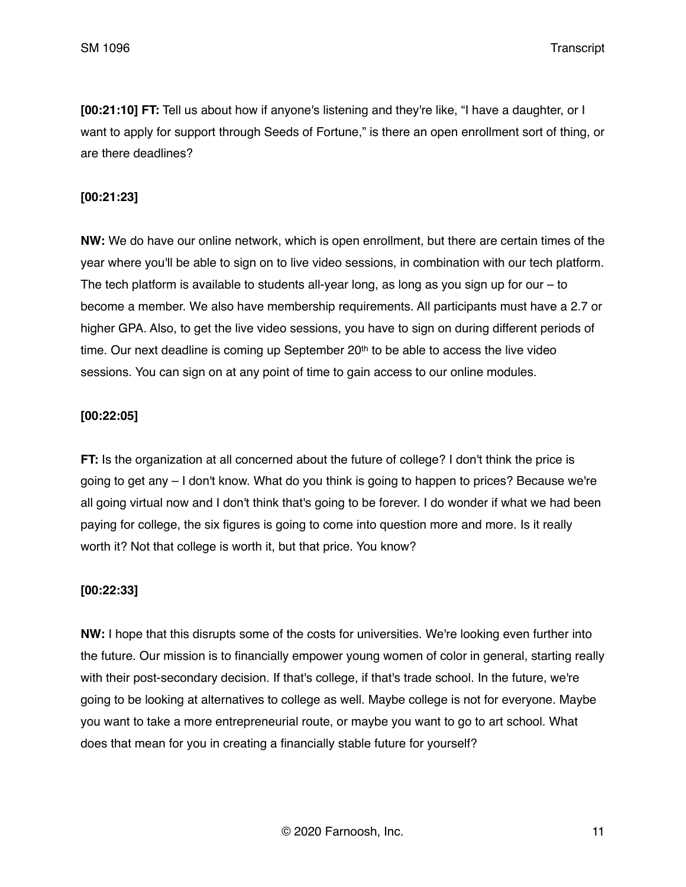**[00:21:10] FT:** Tell us about how if anyone's listening and they're like, "I have a daughter, or I want to apply for support through Seeds of Fortune," is there an open enrollment sort of thing, or are there deadlines?

### **[00:21:23]**

**NW:** We do have our online network, which is open enrollment, but there are certain times of the year where you'll be able to sign on to live video sessions, in combination with our tech platform. The tech platform is available to students all-year long, as long as you sign up for our – to become a member. We also have membership requirements. All participants must have a 2.7 or higher GPA. Also, to get the live video sessions, you have to sign on during different periods of time. Our next deadline is coming up September  $20<sup>th</sup>$  to be able to access the live video sessions. You can sign on at any point of time to gain access to our online modules.

## **[00:22:05]**

**FT:** Is the organization at all concerned about the future of college? I don't think the price is going to get any – I don't know. What do you think is going to happen to prices? Because we're all going virtual now and I don't think that's going to be forever. I do wonder if what we had been paying for college, the six figures is going to come into question more and more. Is it really worth it? Not that college is worth it, but that price. You know?

### **[00:22:33]**

**NW:** I hope that this disrupts some of the costs for universities. We're looking even further into the future. Our mission is to financially empower young women of color in general, starting really with their post-secondary decision. If that's college, if that's trade school. In the future, we're going to be looking at alternatives to college as well. Maybe college is not for everyone. Maybe you want to take a more entrepreneurial route, or maybe you want to go to art school. What does that mean for you in creating a financially stable future for yourself?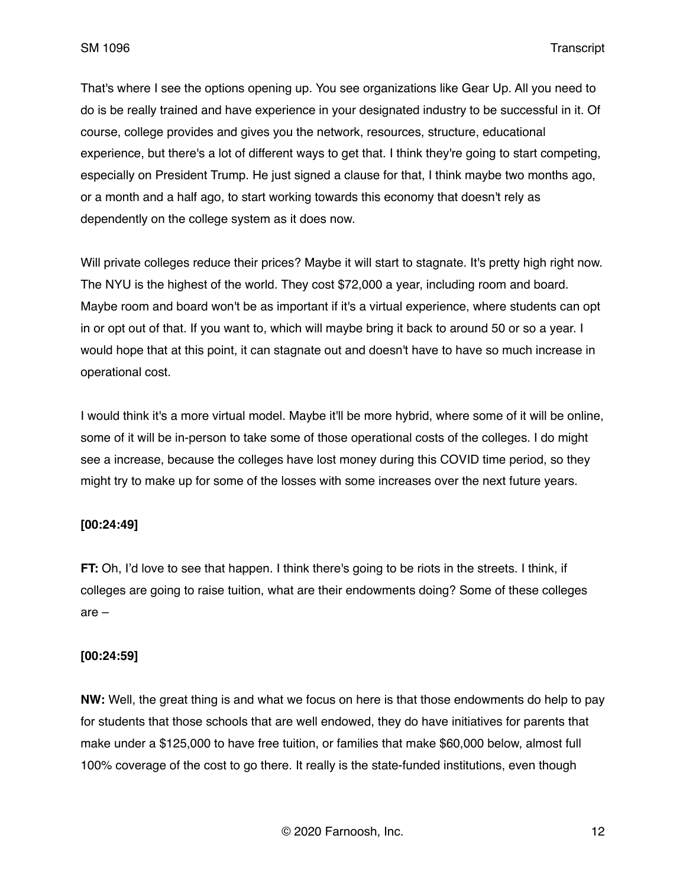That's where I see the options opening up. You see organizations like Gear Up. All you need to do is be really trained and have experience in your designated industry to be successful in it. Of course, college provides and gives you the network, resources, structure, educational experience, but there's a lot of different ways to get that. I think they're going to start competing, especially on President Trump. He just signed a clause for that, I think maybe two months ago, or a month and a half ago, to start working towards this economy that doesn't rely as dependently on the college system as it does now.

Will private colleges reduce their prices? Maybe it will start to stagnate. It's pretty high right now. The NYU is the highest of the world. They cost \$72,000 a year, including room and board. Maybe room and board won't be as important if it's a virtual experience, where students can opt in or opt out of that. If you want to, which will maybe bring it back to around 50 or so a year. I would hope that at this point, it can stagnate out and doesn't have to have so much increase in operational cost.

I would think it's a more virtual model. Maybe it'll be more hybrid, where some of it will be online, some of it will be in-person to take some of those operational costs of the colleges. I do might see a increase, because the colleges have lost money during this COVID time period, so they might try to make up for some of the losses with some increases over the next future years.

### **[00:24:49]**

**FT:** Oh, I'd love to see that happen. I think there's going to be riots in the streets. I think, if colleges are going to raise tuition, what are their endowments doing? Some of these colleges are –

### **[00:24:59]**

**NW:** Well, the great thing is and what we focus on here is that those endowments do help to pay for students that those schools that are well endowed, they do have initiatives for parents that make under a \$125,000 to have free tuition, or families that make \$60,000 below, almost full 100% coverage of the cost to go there. It really is the state-funded institutions, even though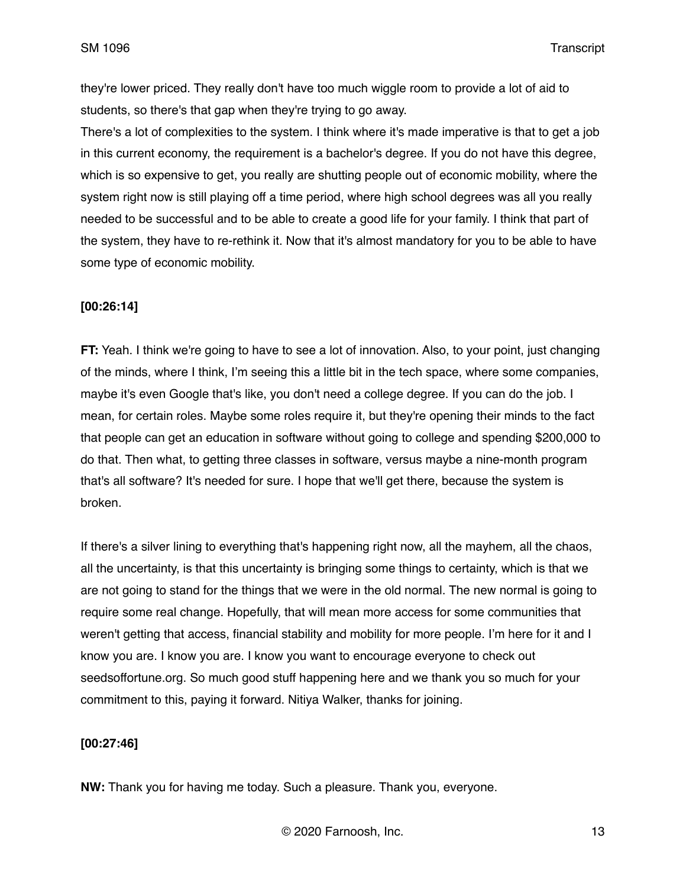they're lower priced. They really don't have too much wiggle room to provide a lot of aid to students, so there's that gap when they're trying to go away.

There's a lot of complexities to the system. I think where it's made imperative is that to get a job in this current economy, the requirement is a bachelor's degree. If you do not have this degree, which is so expensive to get, you really are shutting people out of economic mobility, where the system right now is still playing off a time period, where high school degrees was all you really needed to be successful and to be able to create a good life for your family. I think that part of the system, they have to re-rethink it. Now that it's almost mandatory for you to be able to have some type of economic mobility.

## **[00:26:14]**

**FT:** Yeah. I think we're going to have to see a lot of innovation. Also, to your point, just changing of the minds, where I think, I'm seeing this a little bit in the tech space, where some companies, maybe it's even Google that's like, you don't need a college degree. If you can do the job. I mean, for certain roles. Maybe some roles require it, but they're opening their minds to the fact that people can get an education in software without going to college and spending \$200,000 to do that. Then what, to getting three classes in software, versus maybe a nine-month program that's all software? It's needed for sure. I hope that we'll get there, because the system is broken.

If there's a silver lining to everything that's happening right now, all the mayhem, all the chaos, all the uncertainty, is that this uncertainty is bringing some things to certainty, which is that we are not going to stand for the things that we were in the old normal. The new normal is going to require some real change. Hopefully, that will mean more access for some communities that weren't getting that access, financial stability and mobility for more people. I'm here for it and I know you are. I know you are. I know you want to encourage everyone to check out seedsoffortune.org. So much good stuff happening here and we thank you so much for your commitment to this, paying it forward. Nitiya Walker, thanks for joining.

### **[00:27:46]**

**NW:** Thank you for having me today. Such a pleasure. Thank you, everyone.